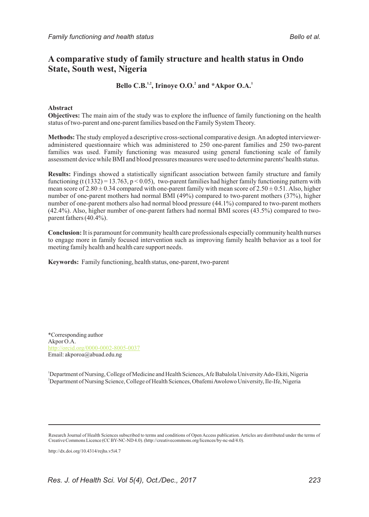# **A comparative study of family structure and health status in Ondo State, South west, Nigeria**

# **1.2 1.2 1.2 1.2 1.2 1.2 1.2 1.2 1.2 1.2 1.2 1.2 1.2 1.2 1.2 1.2 1.2 1.2 1.2 1.2 1.2 1.2 1.2 1.2 1.2 1.2 1.2 1.2 1.2 1.2 1.2 1.2 1.2 1.2 1.2 1.2 1.2**

### **Abstract**

**Objectives:** The main aim of the study was to explore the influence of family functioning on the health status of two-parent and one-parent families based on the Family System Theory.

**Methods:**The study employed a descriptive cross-sectional comparative design. An adopted intervieweradministered questionnaire which was administered to 250 one-parent families and 250 two-parent families was used. Family functioning was measured using general functioning scale of family assessment device while BMI and blood pressures measures were used to determine parents' health status.

**Results:** Findings showed a statistically significant association between family structure and family functioning (t  $(1332) = 13.763$ , p < 0.05), two-parent families had higher family functioning pattern with mean score of  $2.80 \pm 0.34$  compared with one-parent family with mean score of  $2.50 \pm 0.51$ . Also, higher number of one-parent mothers had normal BMI (49%) compared to two-parent mothers (37%), higher number of one-parent mothers also had normal blood pressure (44.1%) compared to two-parent mothers (42.4%). Also, higher number of one-parent fathers had normal BMI scores (43.5%) compared to twoparent fathers (40.4%).

**Conclusion:**It is paramount for community health care professionals especially community health nurses to engage more in family focused intervention such as improving family health behavior as a tool for meeting family health and health care support needs.

**Keywords:** Family functioning, health status, one-parent, two-parent

\*Corresponding author Akpor O.A. Email: akporoa@abuad.edu.ng http://orcid.org/0000-0002-8005-0037

<sup>1</sup>Department of Nursing, College of Medicine and Health Sciences, Afe Babalola University Ado-Ekiti, Nigeria <sup>2</sup>Department of Nursing Science, College of Health Sciences, Obafemi Awolowo University, Ile-Ife, Nigeria

http://dx.doi.org/10.4314/rejhs.v5i4.7

Research Journal of Health Sciences subscribed to terms and conditions of Open Access publication. Articles are distributed under the terms of Creative Commons Licence (CC BY-NC-ND 4.0). (http://creativecommons.org/licences/by-nc-nd/4.0).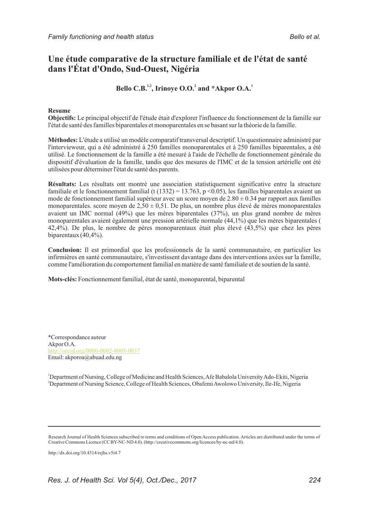# **Une étude comparative de la structure familiale et de l'état de santé dans l'État d'Ondo, Sud-Ouest, Nigéria**

Bello C.B.<sup>1,2</sup>, Irinove O.O.<sup>2</sup> and \*Akpor O.A.<sup>1</sup>

### **Resume**

**Objectifs:** Le principal objectif de l'étude était d'explorer l'influence du fonctionnement de la famille sur l'état de santé des familles biparentales et monoparentales en se basant sur la théorie de la famille.

**Méthodes:** L'étude a utilisé un modèle comparatif transversal descriptif. Un questionnaire administré par l'intervieweur, qui a été administré à 250 familles monoparentales et à 250 familles biparentales, a été utilisé. Le fonctionnement de la famille a été mesuré à l'aide de l'échelle de fonctionnement générale du dispositif d'évaluation de la famille, tandis que des mesures de l'IMC et de la tension artérielle ont été utilisées pour déterminer l'état de santé des parents.

**Résultats:** Les résultats ont montré une association statistiquement significative entre la structure familiale et le fonctionnement familial (t (1332) = 13.763, p <0.05), les familles biparentales avaient un mode de fonctionnement familial supérieur avec un score moyen de  $2.80 \pm 0.34$  par rapport aux familles monoparentales. score moyen de  $2,50 \pm 0,51$ . De plus, un nombre plus élevé de mères monoparentales avaient un IMC normal (49%) que les mères biparentales (37%), un plus grand nombre de mères monoparentales avaient également une pression artérielle normale (44,1%) que les mères biparentales ( 42,4%). De plus, le nombre de pères monoparentaux était plus élevé (43,5%) que chez les pères biparentaux  $(40, 4\%)$ .

**Conclusion:** Il est primordial que les professionnels de la santé communautaire, en particulier les infirmières en santé communautaire, s'investissent davantage dans des interventions axées sur la famille, comme l'amélioration du comportement familial en matière de santé familiale et de soutien de la santé.

**Mots-clés:** Fonctionnement familial, état de santé, monoparental, biparental

\*Correspondance auteur Akpor O.A. Email: akporoa@abuad.edu.ng http://orcid.org/0000-0002-8005-0037

<sup>1</sup>Department of Nursing, College of Medicine and Health Sciences, Afe Babalola University Ado-Ekiti, Nigeria <sup>2</sup>Department of Nursing Science, College of Health Sciences, Obafemi Awolowo University, Ile-Ife, Nigeria

http://dx.doi.org/10.4314/rejhs.v5i4.7

Research Journal of Health Sciences subscribed to terms and conditions of Open Access publication. Articles are distributed under the terms of Creative Commons Licence (CC BY-NC-ND 4.0). (http://creativecommons.org/licences/by-nc-nd/4.0).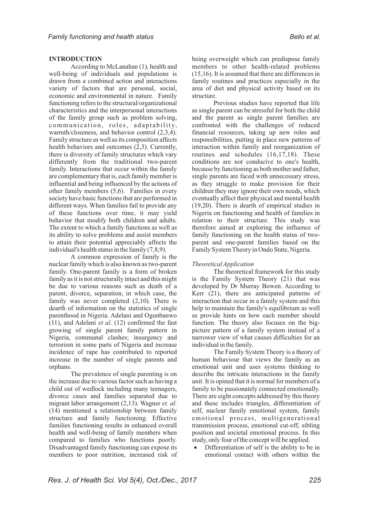# **INTRODUCTION**

According to McLanahan (1), health and well-being of individuals and populations is drawn from a combined action and interactions variety of factors that are personal, social, economic and environmental in nature. Family functioning refers to the structural/organizational characteristics and the interpersonal interactions of the family group such as problem solving, communication, roles, adaptability, warmth/closeness, and behavior control (2,3,4). Family structure as well as its composition affects health behaviors and outcomes (2,3). Currently, there is diversity of family structures which vary differently from the traditional two-parent family. Interactions that occur within the family are complementary that is, each family member is influential and being influenced by the actions of other family members (5,6). Families in every society have basic functions that are performed in different ways. When families fail to provide any of these functions over time, it may yield behavior that modify both children and adults. The extent to which a family functions as well as its ability to solve problems and assist members to attain their potential appreciably affects the individual's health status in the family (7,8,9).

A common expression of family is the nuclear family which is also known as two-parent family. One-parent family is a form of broken family as it is not structurally intact and this might be due to various reasons such as death of a parent, divorce, separation, in which case, the family was never completed (2,10). There is dearth of information on the statistics of single parenthood in Nigeria. Adelani and Ogunbanwo (11), and Adelani *et al*. (12) confirmed the fast growing of single parent family pattern in Nigeria, communal clashes; insurgency and terrorism in some parts of Nigeria and increase incidence of rape has contributed to reported increase in the number of single parents and orphans.

The prevalence of single parenting is on the increase due to various factor such as having a child out of wedlock including many teenagers, divorce cases and families separated due to migrant labor arrangement (2,13). Wagner *et. al*. (14) mentioned a relationship between family structure and family functioning. Effective families functioning results in enhanced overall health and well-being of family members when compared to families who functions poorly. Disadvantaged family functioning can expose its members to poor nutrition, increased risk of being overweight which can predispose family members to other health-related problems (15,16). It is assumed that there are differences in family routines and practices especially in the area of diet and physical activity based on its structure.

Previous studies have reported that life as single parent can be stressful for both the child and the parent as single parent families are confronted with the challenges of reduced financial resources, taking up new roles and responsibilities, putting in place new patterns of interaction within family and reorganization of routines and schedules (16,17,18). These conditions are not conducive to one's health, because by functioning as both mother and father, single parents are faced with unnecessary stress, as they struggle to make provision for their children they may ignore their own needs, which eventually affect their physical and mental health (19,20). There is dearth of empirical studies in Nigeria on functioning and health of families in relation to their structure. This study was therefore aimed at exploring the influence of family functioning on the health status of twoparent and one-parent families based on the Family System Theory in Ondo State, Nigeria.

# *Theoretical Application*

The theoretical framework for this study is the Family System Theory (21) that was developed by Dr Murray Bowen. According to Kerr (21), there are anticipated patterns of interaction that occur in a family system and this help to maintain the family's equilibrium as well as provide hints on how each member should function. The theory also focuses on the bigpicture pattern of a family system instead of a narrower view of what causes difficulties for an individual in the family.

The Family System Theory is a theory of human behaviour that views the family as an emotional unit and uses systems thinking to describe the intricate interactions in the family unit. It is opined that it is normal for members of a family to be passionately connected emotionally. There are eight concepts addressed by this theory and these includes triangles, differentiation of self, nuclear family emotional system, family emotional process, multigenerational transmission process, emotional cut-off, sibling position and societal emotional process. In this

study, only four of the concept will be applied.<br>• Differentiation of self is the ability to b Differentiation of self is the ability to be in emotional contact with others within the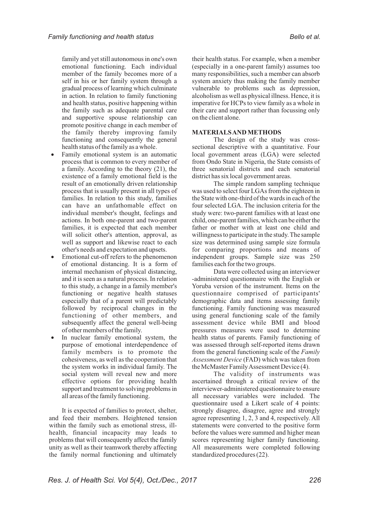family and yet still autonomous in one's own emotional functioning. Each individual member of the family becomes more of a self in his or her family system through a gradual process of learning which culminate in action. In relation to family functioning and health status, positive happening within the family such as adequate parental care and supportive spouse relationship can promote positive change in each member of the family thereby improving family functioning and consequently the general

- **••** health status of the family as a whole.<br>• Family emotional system is an automatic process that is common to every member of a family. According to the theory (21), the existence of a family emotional field is the result of an emotionally driven relationship process that is usually present in all types of families. In relation to this study, families can have an unfathomable effect on individual member's thought, feelings and actions. In both one-parent and two-parent families, it is expected that each member will solicit other's attention, approval, as well as support and likewise react to each other's needs and expectation and upsets.<br>• Emotional cut-off refers to the phenomenon
- of emotional distancing. It is a form of internal mechanism of physical distancing, and it is seen as a natural process. In relation to this study, a change in a family member's functioning or negative health statuses especially that of a parent will predictably followed by reciprocal changes in the functioning of other members, and subsequently affect the general well-being
- of other members of the family.<br>• In nuclear family emotional system, the purpose of emotional interdependence of family members is to promote the cohesiveness, as well as the cooperation that the system works in individual family. The social system will reveal new and more effective options for providing health support and treatment to solving problems in all areas of the family functioning.

It is expected of families to protect, shelter, and feed their members. Heightened tension within the family such as emotional stress, illhealth, financial incapacity may leads to problems that will consequently affect the family unity as well as their teamwork thereby affecting the family normal functioning and ultimately

their health status. For example, when a member (especially in a one-parent family) assumes too many responsibilities, such a member can absorb system anxiety thus making the family member vulnerable to problems such as depression, alcoholism as well as physical illness. Hence, it is imperative for HCPs to view family as a whole in their care and support rather than focussing only on the client alone.

## **MATERIALS AND METHODS**

The design of the study was crosssectional descriptive with a quantitative. Four local government areas (LGA) were selected from Ondo State in Nigeria, the State consists of three senatorial districts and each senatorial district has six local government areas.

The simple random sampling technique was used to select four LGAs from the eighteen in the State with one-third of the wards in each of the four selected LGA. The inclusion criteria for the study were: two-parent families with at least one child, one-parent families, which can be either the father or mother with at least one child and willingness to participate in the study. The sample size was determined using sample size formula for comparing proportions and means of independent groups. Sample size was 250 families each for the two groups.

Data were collected using an interviewer -administered questionnaire with the English or Yoruba version of the instrument. Items on the questionnaire comprised of participants' demographic data and items assessing family functioning. Family functioning was measured using general functioning scale of the family assessment device while BMI and blood pressures measures were used to determine health status of parents. Family functioning of was assessed through self-reported items drawn from the general functioning scale of the *Family Assessment Device* (FAD) which was taken from the McMaster Family Assessment Device (4).

The validity of instruments was ascertained through a critical review of the interviewer-administered questionnaire to ensure all necessary variables were included. The questionnaire used a Likert scale of 4 points: strongly disagree, disagree, agree and strongly agree representing 1, 2, 3 and 4, respectively. All statements were converted to the positive form before the values were summed and higher mean scores representing higher family functioning. All measurements were completed following standardized procedures (22).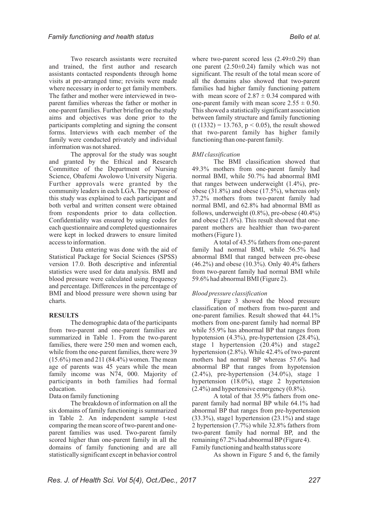Two research assistants were recruited and trained, the first author and research assistants contacted respondents through home visits at pre-arranged time; revisits were made where necessary in order to get family members. The father and mother were interviewed in twoparent families whereas the father or mother in one-parent families. Further briefing on the study aims and objectives was done prior to the participants completing and signing the consent forms. Interviews with each member of the family were conducted privately and individual information was not shared.

The approval for the study was sought and granted by the Ethical and Research Committee of the Department of Nursing Science, Obafemi Awolowo University Nigeria. Further approvals were granted by the community leaders in each LGA. The purpose of this study was explained to each participant and both verbal and written consent were obtained from respondents prior to data collection. Confidentiality was ensured by using codes for each questionnaire and completed questionnaires were kept in locked drawers to ensure limited access to information.

Data entering was done with the aid of Statistical Package for Social Sciences (SPSS) version 17.0. Both descriptive and inferential statistics were used for data analysis. BMI and blood pressure were calculated using frequency and percentage. Differences in the percentage of BMI and blood pressure were shown using bar charts.

# **RESULTS**

The demographic data of the participants from two-parent and one-parent families are summarized in Table 1. From the two-parent families, there were 250 men and women each, while from the one-parent families, there were 39 (15.6%) men and 211 (84.4%) women. The mean age of parents was 45 years while the mean family income was N74, 000. Majority of participants in both families had formal education.

Data on family functioning

The breakdown of information on all the six domains of family functioning is summarized in Table 2. An independent sample t-test comparing the mean score of two-parent and oneparent families was used. Two-parent family scored higher than one-parent family in all the domains of family functioning and are all statistically significant except in behavior control

where two-parent scored less  $(2.49\pm0.29)$  than one parent (2.50±0.24) family which was not significant. The result of the total mean score of all the domains also showed that two-parent families had higher family functioning pattern with mean score of  $2.87 \pm 0.34$  compared with one-parent family with mean score  $2.55 \pm 0.50$ . This showed a statistically significant association between family structure and family functioning  $(t (1332) = 13.763, p < 0.05)$ , the result showed that two-parent family has higher family functioning than one-parent family.

# *BMI classification*

The BMI classification showed that 49.3% mothers from one-parent family had normal BMI, while 50.7% had abnormal BMI that ranges between underweight (1.4%), preobese (31.8%) and obese (17.5%), whereas only 37.2% mothers from two-parent family had normal BMI, and 62.8% had abnormal BMI as follows, underweight  $(0.8\%)$ , pre-obese  $(40.4\%)$ and obese (21.6%). This result showed that oneparent mothers are healthier than two-parent mothers (Figure 1).

A total of 43.5% fathers from one-parent family had normal BMI, while 56.5% had abnormal BMI that ranged between pre-obese (46.2%) and obese (10.3%). Only 40.4% fathers from two-parent family had normal BMI while 59.6% had abnormal BMI (Figure 2).

# *Blood pressure classification*

Figure 3 showed the blood pressure classification of mothers from two-parent and one-parent families. Result showed that 44.1% mothers from one-parent family had normal BP while 55.9% has abnormal BP that ranges from hypotension (4.3%), pre-hypertension (28.4%), stage 1 hypertension (20.4%) and stage2 hypertension (2.8%). While 42.4% of two-parent mothers had normal BP whereas 57.6% had abnormal BP that ranges from hypotension  $(2.4\%)$ , pre-hypertension  $(34.0\%)$ , stage 1 hypertension (18.0%), stage 2 hypertension (2.4%) and hypertensive emergency (0.8%).

A total of that 35.9% fathers from oneparent family had normal BP while 64.1% had abnormal BP that ranges from pre-hypertension (33.3%), stage1 hypertension (23.1%) and stage 2 hypertension (7.7%) while 32.8% fathers from two-parent family had normal BP, and the remaining 67.2% had abnormal BP(Figure 4). Family functioning and health status score

As shown in Figure 5 and 6, the family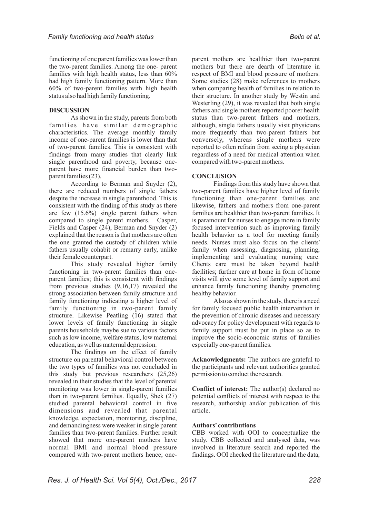functioning of one parent families was lower than the two-parent families. Among the one- parent families with high health status, less than 60% had high family functioning pattern. More than 60% of two-parent families with high health status also had high family functioning.

### **DISCUSSION**

As shown in the study, parents from both families have similar demographic characteristics. The average monthly family income of one-parent families is lower than that of two-parent families. This is consistent with findings from many studies that clearly link single parenthood and poverty, because oneparent have more financial burden than twoparent families (23).

According to Berman and Snyder (2), there are reduced numbers of single fathers despite the increase in single parenthood. This is consistent with the finding of this study as there are few (15.6%) single parent fathers when compared to single parent mothers. Casper, Fields and Casper (24), Berman and Snyder (2) explained that the reason is that mothers are often the one granted the custody of children while fathers usually cohabit or remarry early, unlike their female counterpart.

This study revealed higher family functioning in two-parent families than oneparent families; this is consistent with findings from previous studies (9,16,17) revealed the strong association between family structure and family functioning indicating a higher level of family functioning in two-parent family structure. Likewise Peatling (16) stated that lower levels of family functioning in single parents households maybe sue to various factors such as low income, welfare status, low maternal education, as well as maternal depression.

The findings on the effect of family structure on parental behavioral control between the two types of families was not concluded in this study but previous researchers (25,26) revealed in their studies that the level of parental monitoring was lower in single-parent families than in two-parent families. Equally, Shek (27) studied parental behavioral control in five dimensions and revealed that parental knowledge, expectation, monitoring, discipline, and demandingness were weaker in single parent families than two-parent families. Further result showed that more one-parent mothers have normal BMI and normal blood pressure compared with two-parent mothers hence; oneparent mothers are healthier than two-parent mothers but there are dearth of literature in respect of BMI and blood pressure of mothers. Some studies (28) make references to mothers when comparing health of families in relation to their structure. In another study by Westin and Westerling (29), it was revealed that both single fathers and single mothers reported poorer health status than two-parent fathers and mothers, although, single fathers usually visit physicians more frequently than two-parent fathers but conversely, whereas single mothers were reported to often refrain from seeing a physician regardless of a need for medical attention when compared with two-parent mothers.

## **CONCLUSION**

Findings from this study have shown that two-parent families have higher level of family functioning than one-parent families and likewise, fathers and mothers from one-parent families are healthier than two-parent families. It is paramount for nurses to engage more in family focused intervention such as improving family health behavior as a tool for meeting family needs. Nurses must also focus on the clients' family when assessing, diagnosing, planning, implementing and evaluating nursing care. Clients care must be taken beyond health facilities; further care at home in form of home visits will give some level of family support and enhance family functioning thereby promoting healthy behavior.

Also as shown in the study, there is a need for family focused public health intervention in the prevention of chronic diseases and necessary advocacy for policy development with regards to family support must be put in place so as to improve the socio-economic status of families especially one-parent families.

**Acknowledgments:** The authors are grateful to the participants and relevant authorities granted permission to conduct the research.

**Conflict of interest:** The author(s) declared no potential conflicts of interest with respect to the research, authorship and/or publication of this article.

#### **Authors' contributions**

CBB worked with OOI to conceptualize the study. CBB collected and analysed data, was involved in literature search and reported the findings. OOI checked the literature and the data,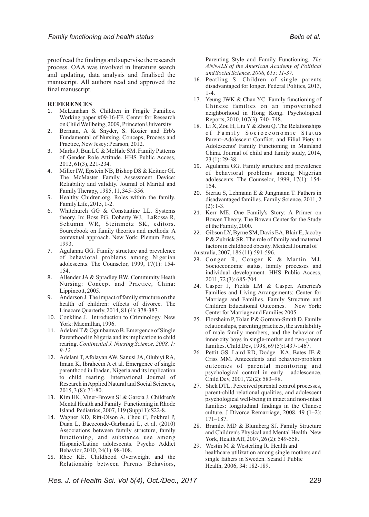proof read the findings and supervise the research process. OAA was involved in literature search and updating, data analysis and finalised the manuscript. All authors read and approved the final manuscript.

#### **REFERENCES**

- 1. McLanahan S. Children in Fragile Families. Working paper #09-16-FF, Center for Research on Child Wellbeing, 2009, Princeton University
- 2. Berman, A & Snyder, S. Kozier and Erb's Fundamental of Nursing, Conceps, Process and Practice, New Jesey: Pearson, 2012.
- 3. Marks J, Bun LC & McHale SM. Family Patterns of Gender Role Attitude. HHS Public Access, 2012, 61(3), 221-234.
- 4. Miller IW, Epstein NB, Bishop DS & Keitner GI. The McMaster Family Assessment Device: Reliability and validity. Journal of Marital and Family Therapy, 1985, 11, 345–356.
- 5. Healthy Chidren.org. Roles within the family. Family Life, 2015, 1-2.
- 6. Whitchurch GG & Constantine LL. Systems theory. In: Boss PG, Doherty WJ, LaRossa R, Schumm WR, Steinmetz SK, editors. Sourcebook on family theories and methods: A contextual approach. New York: Plenum Press, 1993.
- 7. Agulanna GG. Family structure and prevalence of behavioral problems among Nigerian adolescents. The Counselor, 1999, 17(1): 154- 154.
- 8. Allender JA & Spradley BW. Community Heath Nursing: Concept and Practice, China: Lippincott, 2005.
- 9. Anderson J. The impact of family structure on the health of children: effects of divorce. The Linacare Quarterly, 2014, 81 (4): 378-387.
- 10. Conkline J. Introduction to Criminology*.* New York: Macmillan, 1996.
- 11. Adelani T& Ogunbanwo B. Emergence of Single Parenthood in Nigeria and its implication to child rearing. *Continental J. Nursing Science, 2008, 1: 9-12.*
- 12. Adelani T, Afolayan AW, Sanusi JA, Olubiyi RA, Imam K, Ibraheem A et al. Emergence of single parenthood in Ibadan, Nigeria and its implication to child rearing. International Journal of Research in Applied Natural and Social Sciences, 2015, 3 (8): 71-80.
- 13. Kim HK, Viner-Brown SI & Garcia J. Children's Mental Health and Family Functioning in Rhode Island. Pediatrics, 2007, 119 (Suppl 1):S22-8.
- 14. Wagner KD, Ritt-Olson A, Chou C, Pokhrel P, Duan L, Baezconde-Garbanati L, et al. (2010) Associations between family structure, family functioning, and substance use among Hispanic/Latino adolescents. Psycho Addict Behavior, 2010, 24(1): 98-108.
- 15. Rhee KE. Childhood Overweight and the Relationship between Parents Behaviors,

Parenting Style and Family Functioning. *The ANNALS of the American Academy of Political and Social Science, 2008, 615: 11-37.*

- 16. Peatling S. Children of single parents disadvantaged for longer. Federal Politics, 2013, 1-4.
- 17. Yeung JWK & Chan YC. Family functioning of Chinese families on an impoverished neighborhood in Hong Kong. Psychological Reports, 2010, 107(3): 740- 748.
- 18. Li X, Zou H, Liu Y & Zhou Q. The Relationships of Family Socioeconomic Status Parent–Adolescent Conflict, and Filial Piety to Adolescents' Family Functioning in Mainland China. Journal of child and family study, 2014, 23 (1): 29-38.
- 19. Agulanna GG. Family structure and prevalence of behavioral problems among Nigerian adolescents. The Counselor, 1999, 17(1): 154- 154.
- 20. Sierau S, Lehmann E & Jungmann T. Fathers in disadvantaged families. Family Science, 2011, 2  $(2): 1-3.$
- 21. Kerr ME. One Family's Story: A Primer on Bowen Theory. The Bowen Center for the Study of the Family, 2000.
- 22. Gibson LY, Byrne SM, Davis EA, Blair E, Jacoby P & Zubrick SR. The role of family and maternal factors in childhood obesity. Medical Journal of Australia, 2007, 186 (11):591-596.
- 23. Conger R, Conger K & Martin MJ. Socioeconomic status, family processes and individual development. HHS Public Access, 2011, 72 (3): 685-704.
- 24. Casper J, Fields LM & Casper. America's Families and Living Arrangements: Center for Marriage and Families. Family Structure and Children Educational Outcomes. New York: Center for Marriage and Families 2005.
- 25. Florsheim P, Tolan P& Gorman-Smith D. Family relationships, parenting practices, the availability of male family members, and the behavior of inner-city boys in single-mother and two-parent families. Child Dev, 1998, 69 (5):1437-1467.
- 26. Pettit GS, Laird RD, Dodge KA, Bates JE & Criss MM. Antecedents and behavior-problem outcomes of parental monitoring and psychological control in early adolescence. Child Dev, 2001, 72 (2): 583–98.
- 27. Shek DTL. Perceived parental control processes, parent-child relational qualities, and adolescent psychological well-being in intact and non-intact families: longitudinal findings in the Chinese culture. J Divorce Remarriage, 2008, 49 (1–2): 171–187.
- 28. Bramlet MD & Blumberg SJ. Family Structure and Children's Physical and Mental Health. New York, Health Aff, 2007, 26 (2): 549-558.
- 29. Westin M & Westerling R. Health and healthcare utilization among single mothers and single fathers in Sweden. Scand J Public Health, 2006, 34: 182-189.

*Res. J. of Health Sci. Vol 5(4), Oct./Dec., 2017 229*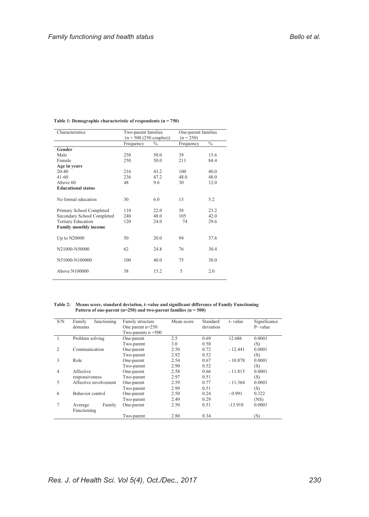| Characteristics              | Two-parent families<br>$(n = 500 (250 \text{ couples}))$ |               | One-parent families<br>$(n = 250)$ |               |
|------------------------------|----------------------------------------------------------|---------------|------------------------------------|---------------|
|                              | Frequency                                                | $\frac{0}{0}$ | Frequency                          | $\frac{0}{0}$ |
| Gender                       |                                                          |               |                                    |               |
| Male                         | 250                                                      | 50.0          | 39                                 | 15.6          |
| Female                       | 250                                                      | 50.0          | 211                                | 84.4          |
| Age in years                 |                                                          |               |                                    |               |
| $20 - 40$                    | 216                                                      | 43.2          | 100                                | 40.0          |
| $41-60$                      | 236                                                      | 47.2          | 48.0                               | 48.0          |
| Above 60                     | 48                                                       | 9.6           | 30                                 | 12.0          |
| <b>Educational status</b>    |                                                          |               |                                    |               |
| No formal education          | 30                                                       | 6.0           | 13                                 | 5.2           |
| Primary School Completed     | 110                                                      | 22.0          | 58                                 | 23.2          |
| Secondary School Completed   | 240                                                      | 48.0          | 105                                | 42.0          |
| <b>Tertiary Education</b>    | 120                                                      | 24.0          | 74                                 | 29.6          |
| <b>Family monthly income</b> |                                                          |               |                                    |               |
| Up to N20000                 | 50                                                       | 20.0          | 94                                 | 37.6          |
| N21000-N50000                | 62                                                       | 24.8          | 76                                 | 30.4          |
| N51000-N100000               | 100                                                      | 40.0          | 75                                 | 30.0          |
| Above N100000                | 38                                                       | 15.2          | 5                                  | 2.0           |

#### **Table 1: Demographic characteristic of respondents (n = 750)**

**Table 2: Means score, standard deviation, t–value and significant difference of Family Functioning Pattern of one-parent (n=250) and two-parent families (n = 500)**

| S/N            | functioning<br>Family<br>domains | Family structure<br>One parent $n=250$ | Mean score | Standard<br>deviation | t-value   | Significance<br>P- value |
|----------------|----------------------------------|----------------------------------------|------------|-----------------------|-----------|--------------------------|
|                |                                  | Two-parents $n = 500$                  |            |                       |           |                          |
|                | Problem solving                  | One-parent                             | 2.5        | 0.69                  | 12.686    | 0.0001                   |
|                |                                  | Two-parent                             | 3.0        | 0.50                  |           | (S)                      |
| $\overline{c}$ | Communication                    | One-parent                             | 2.50       | 0.72                  | $-12.441$ | 0.0001                   |
|                |                                  | Two-parent                             | 2.92       | 0.52                  |           | (S)                      |
| 3              | Role                             | One-parent                             | 2.54       | 0.67                  | $-10.878$ | 0.0001                   |
|                |                                  | Two-parent                             | 2.90       | 0.52                  |           | (S)                      |
| 4              | Affective                        | One-parent                             | 2.58       | 0.66                  | $-11.815$ | 0.0001                   |
|                | responsiveness                   | Two-parent                             | 2.97       | 0.51                  |           | (S)                      |
| 5              | Affective involvement            | One-parent                             | 2.59       | 0.77                  | $-11.364$ | 0.0001                   |
|                |                                  | Two-parent                             | 2.99       | 0.51                  |           | (S)                      |
| 6              | Behavior control                 | One-parent                             | 2.50       | 0.24                  | $-0.991$  | 0.322                    |
|                |                                  | Two-parent                             | 2.49       | 0.29                  |           | (NS)                     |
| 7              | Family<br>Average                | One-parent                             | 2.50       | 0.51                  | $-13.918$ | 0.0001                   |
|                | Functioning                      |                                        |            |                       |           |                          |
|                |                                  | Two-parent                             | 2.80       | 0.34                  |           | (S)                      |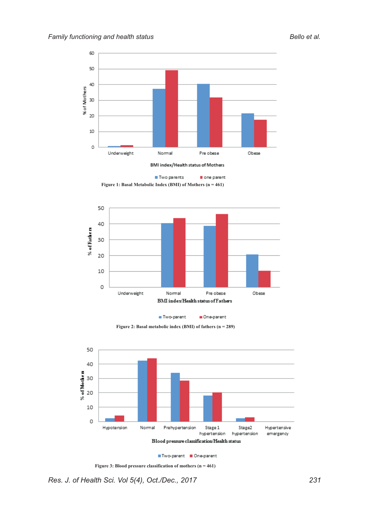

Two parents one parent **Figure 1: Basal Metabolic Index (BMI) of Mothers (n = 461)**









**Figure 3: Blood pressure classification of mothers (n = 461)**

*Res. J. of Health Sci. Vol 5(4), Oct./Dec., 2017 231*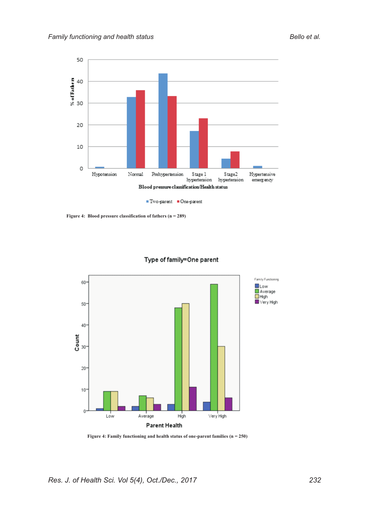

**Figure 4: Blood pressure classification of fathers (n = 289)**



# Type of family=One parent

**Figure 4: Family functioning and health status of one-parent families (n = 250)**